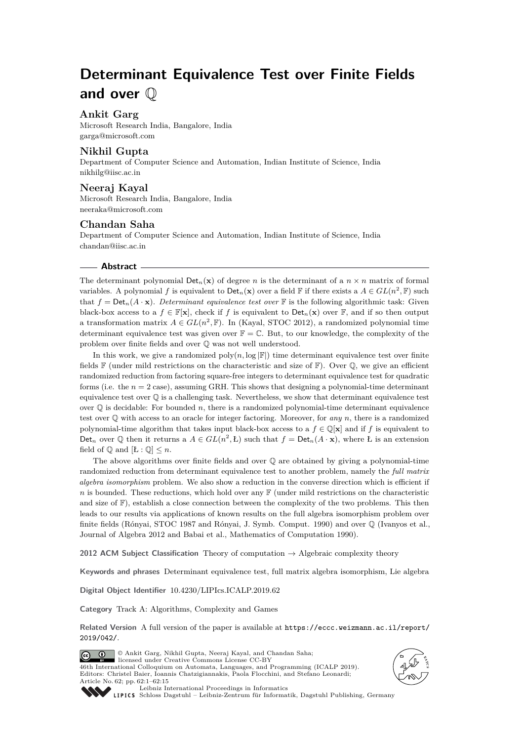# **Determinant Equivalence Test over Finite Fields and over** Q

## **Ankit Garg**

Microsoft Research India, Bangalore, India [garga@microsoft.com](mailto:garga@microsoft.com)

#### **Nikhil Gupta**

Department of Computer Science and Automation, Indian Institute of Science, India [nikhilg@iisc.ac.in](mailto:nikhilg@iisc.ac.in)

## **Neeraj Kayal**

Microsoft Research India, Bangalore, India [neeraka@microsoft.com](mailto:neeraka@microsoft.com)

## **Chandan Saha**

Department of Computer Science and Automation, Indian Institute of Science, India [chandan@iisc.ac.in](mailto:chandan@iisc.ac.in)

#### **Abstract**

The determinant polynomial  $Det_n(\mathbf{x})$  of degree *n* is the determinant of a  $n \times n$  matrix of formal variables. A polynomial *f* is equivalent to  $\text{Det}_n(\mathbf{x})$  over a field  $\mathbb{F}$  if there exists a  $A \in GL(n^2, \mathbb{F})$  such that  $f = Det_n(A \cdot \mathbf{x})$ . *Determinant equivalence test over*  $\mathbb{F}$  is the following algorithmic task: Given black-box access to a  $f \in \mathbb{F}[\mathbf{x}]$ , check if f is equivalent to  $\text{Det}_n(\mathbf{x})$  over  $\mathbb{F}$ , and if so then output a transformation matrix  $A \in GL(n^2, \mathbb{F})$ . In (Kayal, STOC 2012), a randomized polynomial time determinant equivalence test was given over  $\mathbb{F} = \mathbb{C}$ . But, to our knowledge, the complexity of the problem over finite fields and over Q was not well understood.

In this work, we give a randomized  $\text{poly}(n, \log |\mathbb{F}|)$  time determinant equivalence test over finite fields  $\mathbb F$  (under mild restrictions on the characteristic and size of  $\mathbb F$ ). Over  $\mathbb Q$ , we give an efficient randomized reduction from factoring square-free integers to determinant equivalence test for quadratic forms (i.e. the  $n = 2$  case), assuming GRH. This shows that designing a polynomial-time determinant equivalence test over  $\mathbb Q$  is a challenging task. Nevertheless, we show that determinant equivalence test over  $\mathbb Q$  is decidable: For bounded  $n$ , there is a randomized polynomial-time determinant equivalence test over Q with access to an oracle for integer factoring. Moreover, for *any n*, there is a randomized polynomial-time algorithm that takes input black-box access to a  $f \in \mathbb{Q}[\mathbf{x}]$  and if *f* is equivalent to Det<sub>n</sub> over  $\mathbb Q$  then it returns a  $A \in GL(n^2, L)$  such that  $f = Det_n(A \cdot x)$ , where L is an extension field of  $\mathbb{Q}$  and  $[E : \mathbb{Q}] \leq n$ .

The above algorithms over finite fields and over  $\mathbb Q$  are obtained by giving a polynomial-time randomized reduction from determinant equivalence test to another problem, namely the *full matrix algebra isomorphism* problem. We also show a reduction in the converse direction which is efficient if *n* is bounded. These reductions, which hold over any  $\mathbb{F}$  (under mild restrictions on the characteristic and size of  $\mathbb{F}$ ), establish a close connection between the complexity of the two problems. This then leads to our results via applications of known results on the full algebra isomorphism problem over finite fields (Rónyai, STOC 1987 and Rónyai, J. Symb. Comput. 1990) and over Q (Ivanyos et al., Journal of Algebra 2012 and Babai et al., Mathematics of Computation 1990).

**2012 ACM Subject Classification** Theory of computation → Algebraic complexity theory

**Keywords and phrases** Determinant equivalence test, full matrix algebra isomorphism, Lie algebra

**Digital Object Identifier** [10.4230/LIPIcs.ICALP.2019.62](https://doi.org/10.4230/LIPIcs.ICALP.2019.62)

**Category** Track A: Algorithms, Complexity and Games

**Related Version** A full version of the paper is available at [https://eccc.weizmann.ac.il/report/](https://eccc.weizmann.ac.il/report/2019/042/) [2019/042/](https://eccc.weizmann.ac.il/report/2019/042/).



© Ankit Garg, Nikhil Gupta, Neeraj Kayal, and Chandan Saha; licensed under Creative Commons License CC-BY 46th International Colloquium on Automata, Languages, and Programming (ICALP 2019). **<sup>E</sup>A<sup>T</sup> C S**



[Leibniz International Proceedings in Informatics](https://www.dagstuhl.de/lipics/)

Editors: Christel Baier, Ioannis Chatzigiannakis, Paola Flocchini, and Stefano Leonardi;

[Schloss Dagstuhl – Leibniz-Zentrum für Informatik, Dagstuhl Publishing, Germany](https://www.dagstuhl.de)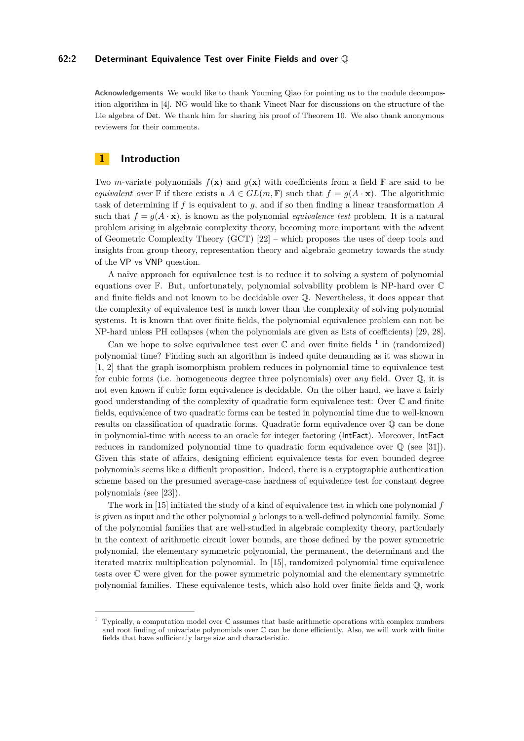## **62:2 Determinant Equivalence Test over Finite Fields and over** Q

**Acknowledgements** We would like to thank Youming Qiao for pointing us to the module decomposition algorithm in [\[4\]](#page-13-0). NG would like to thank Vineet Nair for discussions on the structure of the Lie algebra of Det. We thank him for sharing his proof of Theorem [10.](#page-5-0) We also thank anonymous reviewers for their comments.

## **1 Introduction**

Two *m*-variate polynomials  $f(\mathbf{x})$  and  $g(\mathbf{x})$  with coefficients from a field  $\mathbb{F}$  are said to be *equivalent over* F if there exists a  $A \in GL(m, \mathbb{F})$  such that  $f = g(A \cdot \mathbf{x})$ . The algorithmic task of determining if *f* is equivalent to *g*, and if so then finding a linear transformation *A* such that  $f = g(A \cdot \mathbf{x})$ , is known as the polynomial *equivalence test* problem. It is a natural problem arising in algebraic complexity theory, becoming more important with the advent of Geometric Complexity Theory (GCT) [\[22\]](#page-14-1) – which proposes the uses of deep tools and insights from group theory, representation theory and algebraic geometry towards the study of the VP vs VNP question.

A naïve approach for equivalence test is to reduce it to solving a system of polynomial equations over F. But, unfortunately, polynomial solvability problem is NP-hard over C and finite fields and not known to be decidable over Q. Nevertheless, it does appear that the complexity of equivalence test is much lower than the complexity of solving polynomial systems. It is known that over finite fields, the polynomial equivalence problem can not be NP-hard unless PH collapses (when the polynomials are given as lists of coefficients) [\[29,](#page-14-2) [28\]](#page-14-3).

Can we hope to solve equivalence test over  $\mathbb C$  and over finite fields  $^1$  $^1$  in (randomized) polynomial time? Finding such an algorithm is indeed quite demanding as it was shown in [\[1,](#page-13-1) [2\]](#page-13-2) that the graph isomorphism problem reduces in polynomial time to equivalence test for cubic forms (i.e. homogeneous degree three polynomials) over *any* field. Over Q, it is not even known if cubic form equivalence is decidable. On the other hand, we have a fairly good understanding of the complexity of quadratic form equivalence test: Over C and finite fields, equivalence of two quadratic forms can be tested in polynomial time due to well-known results on classification of quadratic forms. Quadratic form equivalence over Q can be done in polynomial-time with access to an oracle for integer factoring (IntFact). Moreover, IntFact reduces in randomized polynomial time to quadratic form equivalence over  $\mathbb{Q}$  (see [\[31\]](#page-14-4)). Given this state of affairs, designing efficient equivalence tests for even bounded degree polynomials seems like a difficult proposition. Indeed, there is a cryptographic authentication scheme based on the presumed average-case hardness of equivalence test for constant degree polynomials (see [\[23\]](#page-14-5)).

The work in [\[15\]](#page-13-3) initiated the study of a kind of equivalence test in which one polynomial *f* is given as input and the other polynomial *g* belongs to a well-defined polynomial family. Some of the polynomial families that are well-studied in algebraic complexity theory, particularly in the context of arithmetic circuit lower bounds, are those defined by the power symmetric polynomial, the elementary symmetric polynomial, the permanent, the determinant and the iterated matrix multiplication polynomial. In [\[15\]](#page-13-3), randomized polynomial time equivalence tests over C were given for the power symmetric polynomial and the elementary symmetric polynomial families. These equivalence tests, which also hold over finite fields and Q, work

<span id="page-1-0"></span><sup>1</sup> Typically, a computation model over C assumes that basic arithmetic operations with complex numbers and root finding of univariate polynomials over  $\mathbb C$  can be done efficiently. Also, we will work with finite fields that have sufficiently large size and characteristic.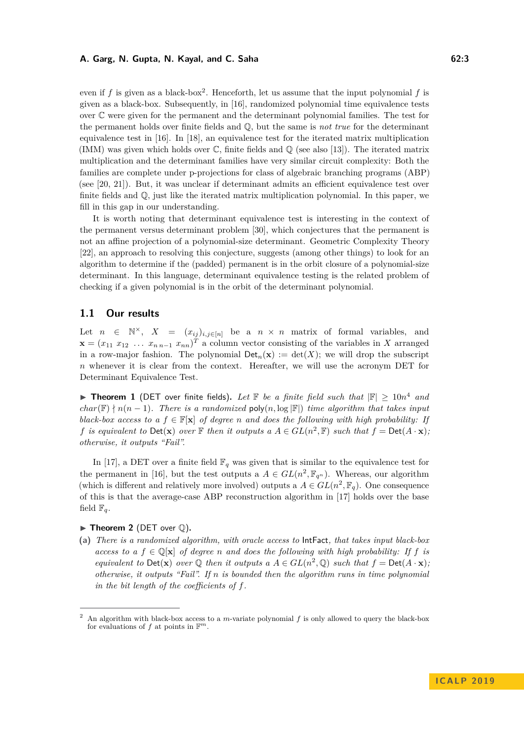even if  $f$  is given as a black-box<sup>[2](#page-2-0)</sup>. Henceforth, let us assume that the input polynomial  $f$  is given as a black-box. Subsequently, in [\[16\]](#page-13-4), randomized polynomial time equivalence tests over C were given for the permanent and the determinant polynomial families. The test for the permanent holds over finite fields and Q, but the same is *not true* for the determinant equivalence test in [\[16\]](#page-13-4). In [\[18\]](#page-13-5), an equivalence test for the iterated matrix multiplication (IMM) was given which holds over  $\mathbb C$ , finite fields and  $\mathbb Q$  (see also [\[13\]](#page-13-6)). The iterated matrix multiplication and the determinant families have very similar circuit complexity: Both the families are complete under p-projections for class of algebraic branching programs (ABP) (see [\[20,](#page-13-7) [21\]](#page-14-6)). But, it was unclear if determinant admits an efficient equivalence test over finite fields and Q, just like the iterated matrix multiplication polynomial. In this paper, we fill in this gap in our understanding.

It is worth noting that determinant equivalence test is interesting in the context of the permanent versus determinant problem [\[30\]](#page-14-7), which conjectures that the permanent is not an affine projection of a polynomial-size determinant. Geometric Complexity Theory [\[22\]](#page-14-1), an approach to resolving this conjecture, suggests (among other things) to look for an algorithm to determine if the (padded) permanent is in the orbit closure of a polynomial-size determinant. In this language, determinant equivalence testing is the related problem of checking if a given polynomial is in the orbit of the determinant polynomial.

## **1.1 Our results**

Let  $n \in \mathbb{N}^{\times}$ ,  $X = (x_{ij})_{i,j \in [n]}$  be a  $n \times n$  matrix of formal variables, and  $\mathbf{x} = (x_{11} \ x_{12} \ \dots \ x_{n\,n-1} \ x_{nn})^T$  a column vector consisting of the variables in *X* arranged in a row-major fashion. The polynomial  $Det_n(\mathbf{x}) := det(X)$ ; we will drop the subscript *n* whenever it is clear from the context. Hereafter, we will use the acronym DET for Determinant Equivalence Test.

<span id="page-2-1"></span>**Theorem 1** (DET over finite fields). Let  $\mathbb F$  be a finite field such that  $|\mathbb F| \ge 10n^4$  and *char*( $\mathbb{F}$ )  $\nmid n(n-1)$ *. There is a randomized* poly $(n, \log |\mathbb{F}|)$  *time algorithm that takes input black-box access to a*  $f \in \mathbb{F}[\mathbf{x}]$  *of degree n and does the following with high probability: If f is equivalent to*  $Det(\mathbf{x})$  *over*  $\mathbb F$  *then it outputs a*  $A \in GL(n^2, \mathbb F)$  *such that*  $f = Det(A \cdot \mathbf{x})$ *; otherwise, it outputs "Fail".*

In [\[17\]](#page-13-8), a DET over a finite field  $\mathbb{F}_q$  was given that is similar to the equivalence test for the permanent in [\[16\]](#page-13-4), but the test outputs a  $A \in GL(n^2, \mathbb{F}_{q^n})$ . Whereas, our algorithm (which is different and relatively more involved) outputs a  $A \in GL(n^2, \mathbb{F}_q)$ . One consequence of this is that the average-case ABP reconstruction algorithm in [\[17\]](#page-13-8) holds over the base field  $\mathbb{F}_q$ .

#### <span id="page-2-2"></span> $\blacktriangleright$  **Theorem 2** (DET over  $\heartsuit$ ).

**(a)** *There is a randomized algorithm, with oracle access to* IntFact*, that takes input black-box access to a*  $f \in \mathbb{Q}[\mathbf{x}]$  *of degree n and does the following with high probability: If*  $f$  *is equivalent to*  $Det(\mathbf{x})$  *over*  $\mathbb{Q}$  *then it outputs a*  $A \in GL(n^2, \mathbb{Q})$  *such that*  $f = Det(A \cdot \mathbf{x})$ *; otherwise, it outputs "Fail". If n is bounded then the algorithm runs in time polynomial in the bit length of the coefficients of f.*

<span id="page-2-0"></span><sup>2</sup> An algorithm with black-box access to a *m*-variate polynomial *f* is only allowed to query the black-box for evaluations of  $f$  at points in  $\mathbb{F}^m$ .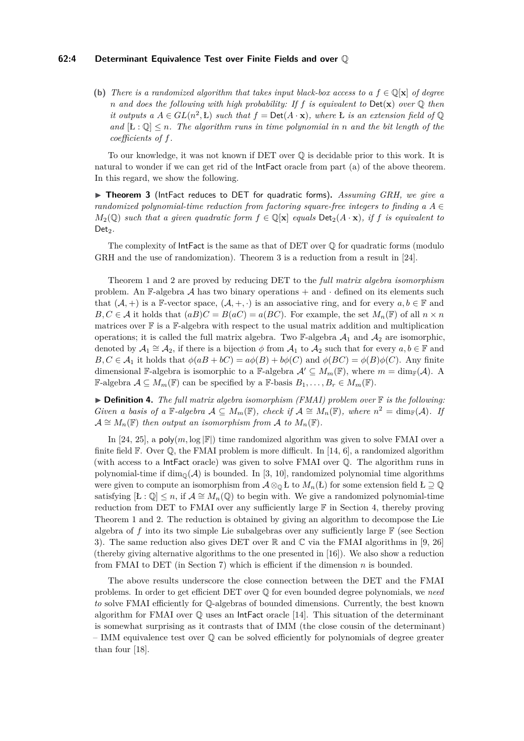#### **62:4 Determinant Equivalence Test over Finite Fields and over** Q

**(b)** *There is a randomized algorithm that takes input black-box access to a*  $f \in \mathbb{Q}[\mathbf{x}]$  *of degree n and does the following with high probability: If f is equivalent to* Det(**x**) *over* Q *then it outputs a*  $A \in GL(n^2, L)$  *such that*  $f = Det(A \cdot x)$ *, where L is an extension field of* Q *and*  $\left[ \mathbf{E} : \mathbb{Q} \right] \leq n$ *. The algorithm runs in time polynomial in n and the bit length of the coefficients of f.*

To our knowledge, it was not known if  $\text{DET}$  over  $\mathbb Q$  is decidable prior to this work. It is natural to wonder if we can get rid of the IntFact oracle from part (a) of the above theorem. In this regard, we show the following.

<span id="page-3-0"></span>▶ **Theorem 3** (IntFact reduces to DET for quadratic forms). Assuming GRH, we give a *randomized polynomial-time reduction from factoring square-free integers to finding a*  $A \in$ *M*<sub>2</sub>( $\mathbb{Q}$ ) *such that a given quadratic form*  $f \in \mathbb{Q}[\mathbf{x}]$  *equals* Det<sub>2</sub>( $A \cdot \mathbf{x}$ )*, if f is equivalent to*  $Det<sub>2</sub>$ *.* 

The complexity of IntFact is the same as that of DET over Q for quadratic forms (modulo GRH and the use of randomization). Theorem [3](#page-3-0) is a reduction from a result in [\[24\]](#page-14-8).

Theorem [1](#page-2-1) and [2](#page-2-2) are proved by reducing DET to the *full matrix algebra isomorphism* problem. An F-algebra  $A$  has two binary operations  $+$  and  $\cdot$  defined on its elements such that  $(A,+)$  is a F-vector space,  $(A,+,.)$  is an associative ring, and for every  $a, b \in \mathbb{F}$  and  $B, C \in \mathcal{A}$  it holds that  $(aB)C = B(aC) = a(BC)$ . For example, the set  $M_n(\mathbb{F})$  of all  $n \times n$ matrices over  $\mathbb F$  is a  $\mathbb F$ -algebra with respect to the usual matrix addition and multiplication operations; it is called the full matrix algebra. Two  $\mathbb{F}$ -algebra  $\mathcal{A}_1$  and  $\mathcal{A}_2$  are isomorphic, denoted by  $A_1 \cong \mathcal{A}_2$ , if there is a bijection  $\phi$  from  $\mathcal{A}_1$  to  $\mathcal{A}_2$  such that for every  $a, b \in \mathbb{F}$  and  $B, C \in \mathcal{A}_1$  it holds that  $\phi(aB + bC) = a\phi(B) + b\phi(C)$  and  $\phi(BC) = \phi(B)\phi(C)$ . Any finite dimensional F-algebra is isomorphic to a F-algebra  $\mathcal{A}' \subseteq M_m(\mathbb{F})$ , where  $m = \dim_{\mathbb{F}}(\mathcal{A})$ . A F-algebra  $\mathcal{A} \subseteq M_m(\mathbb{F})$  can be specified by a F-basis  $B_1, \ldots, B_r \in M_m(\mathbb{F})$ .

<span id="page-3-1"></span>▶ **Definition 4.** *The full matrix algebra isomorphism (FMAI) problem over* **F** *is the following: Given a basis of a*  $\mathbb{F}-algebra \mathcal{A} \subseteq M_m(\mathbb{F})$ *, check if*  $\mathcal{A} \cong M_n(\mathbb{F})$ *, where*  $n^2 = \dim_{\mathbb{F}}(\mathcal{A})$ *. If*  $\mathcal{A} \cong M_n(\mathbb{F})$  *then output an isomorphism from*  $\mathcal{A}$  *to*  $M_n(\mathbb{F})$ *.* 

In [\[24,](#page-14-8) [25\]](#page-14-9), a poly $(m, \log |F|)$  time randomized algorithm was given to solve FMAI over a finite field  $\mathbb{F}$ . Over  $\mathbb{Q}$ , the FMAI problem is more difficult. In [\[14,](#page-13-9) [6\]](#page-13-10), a randomized algorithm (with access to a IntFact oracle) was given to solve FMAI over Q. The algorithm runs in polynomial-time if dim<sub> $\mathbb{Q}(\mathcal{A})$ </sub> is bounded. In [\[3,](#page-13-11) [10\]](#page-13-12), randomized polynomial time algorithms were given to compute an isomorphism from  $A \otimes_{\mathbb{Q}} L$  to  $M_n(L)$  for some extension field  $L \supseteq \mathbb{Q}$ satisfying  $[t : \mathbb{Q}] \leq n$ , if  $\mathcal{A} \cong M_n(\mathbb{Q})$  to begin with. We give a randomized polynomial-time reduction from DET to FMAI over any sufficiently large  $\mathbb F$  in Section [4,](#page-9-0) thereby proving Theorem [1](#page-2-1) and [2.](#page-2-2) The reduction is obtained by giving an algorithm to decompose the Lie algebra of f into its two simple Lie subalgebras over any sufficiently large  $\mathbb{F}$  (see Section [3\)](#page-5-1). The same reduction also gives DET over  $\mathbb R$  and  $\mathbb C$  via the FMAI algorithms in [\[9,](#page-13-13) [26\]](#page-14-10) (thereby giving alternative algorithms to the one presented in [\[16\]](#page-13-4)). We also show a reduction from FMAI to DET (in Section [7\)](#page-11-0) which is efficient if the dimension *n* is bounded.

The above results underscore the close connection between the DET and the FMAI problems. In order to get efficient DET over Q for even bounded degree polynomials, we *need to* solve FMAI efficiently for Q-algebras of bounded dimensions. Currently, the best known algorithm for FMAI over  $\mathbb Q$  uses an IntFact oracle [\[14\]](#page-13-9). This situation of the determinant is somewhat surprising as it contrasts that of IMM (the close cousin of the determinant)  $-$  IMM equivalence test over  $\mathbb Q$  can be solved efficiently for polynomials of degree greater than four [\[18\]](#page-13-5).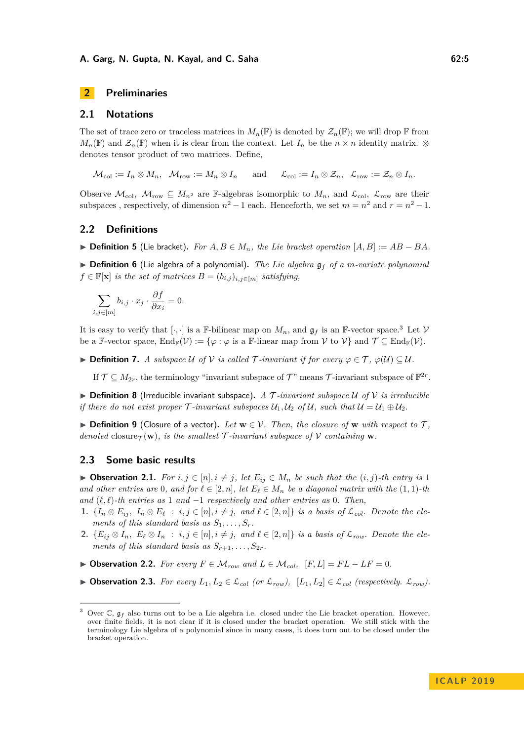#### **A. Garg, N. Gupta, N. Kayal, and C. Saha 62:5 62:5 62:5**

## <span id="page-4-4"></span>**2 Preliminaries**

#### **2.1 Notations**

The set of trace zero or traceless matrices in  $M_n(\mathbb{F})$  is denoted by  $\mathcal{Z}_n(\mathbb{F})$ ; we will drop  $\mathbb F$  from  $M_n(\mathbb{F})$  and  $\mathcal{Z}_n(\mathbb{F})$  when it is clear from the context. Let  $I_n$  be the  $n \times n$  identity matrix. ⊗ denotes tensor product of two matrices. Define,

 $\mathcal{M}_{\text{col}} := I_n \otimes M_n, \quad \mathcal{M}_{\text{row}} := M_n \otimes I_n \quad \text{and} \quad \mathcal{L}_{\text{col}} := I_n \otimes \mathcal{Z}_n, \quad \mathcal{L}_{\text{row}} := \mathcal{Z}_n \otimes I_n.$ 

Observe  $\mathcal{M}_{\text{col}}$ ,  $\mathcal{M}_{\text{row}} \subseteq M_{n^2}$  are F-algebras isomorphic to  $M_n$ , and  $\mathcal{L}_{\text{col}}$ ,  $\mathcal{L}_{\text{row}}$  are their subspaces, respectively, of dimension  $n^2 - 1$  each. Henceforth, we set  $m = n^2$  and  $r = n^2 - 1$ .

#### **2.2 Definitions**

 $\triangleright$  **Definition 5** (Lie bracket). For  $A, B \in M_n$ , the Lie bracket operation  $[A, B] := AB - BA$ .

 $\triangleright$  **Definition 6** (Lie algebra of a polynomial). The Lie algebra  $\mathfrak{g}_f$  of a *m-variate polynomial*  $f \in \mathbb{F}[\mathbf{x}]$  *is the set of matrices*  $B = (b_{i,j})_{i,j \in [m]}$  *satisfying,* 

$$
\sum_{i,j \in [m]} b_{i,j} \cdot x_j \cdot \frac{\partial f}{\partial x_i} = 0.
$$

It is easy to verify that  $[\cdot, \cdot]$  is a F-bilinear map on  $M_n$ , and  $\mathfrak{g}_f$  is an F-vector space.<sup>[3](#page-4-0)</sup> Let V be a F-vector space,  $\text{End}_{\mathbb{F}}(\mathcal{V}) := \{\varphi : \varphi \text{ is a } \mathbb{F}\text{-linear map from } \mathcal{V} \text{ to } \mathcal{V}\}\$ and  $\mathcal{T} \subseteq \text{End}_{\mathbb{F}}(\mathcal{V})$ .

**► Definition 7.** *A subspace*  $U$  *of*  $V$  *is called*  $\mathcal{T}$ *-invariant if for every*  $\varphi \in \mathcal{T}$ *,*  $\varphi(\mathcal{U}) \subseteq \mathcal{U}$ *.* 

If  $\mathcal{T} \subseteq M_{2r}$ , the terminology "invariant subspace of  $\mathcal{T}$ " means  $\mathcal{T}$ -invariant subspace of  $\mathbb{F}^{2r}$ .

 $\triangleright$  **Definition 8** (Irreducible invariant subspace). A T-invariant subspace U of V is irreducible *if there do not exist proper*  $\mathcal{T}$ *-invariant subspaces*  $\mathcal{U}_1, \mathcal{U}_2$  *of*  $\mathcal{U}$ *, such that*  $\mathcal{U} = \mathcal{U}_1 \oplus \mathcal{U}_2$ *.* 

**► Definition 9** (Closure of a vector). Let  $\mathbf{w} \in \mathcal{V}$ . Then, the closure of  $\mathbf{w}$  with respect to  $\mathcal{T}$ , *denoted* closure $\tau(\mathbf{w})$ *, is the smallest*  $\mathcal{T}$ *-invariant subspace of*  $\mathcal{V}$  *containing*  $\mathbf{w}$ *.* 

## **2.3 Some basic results**

<span id="page-4-1"></span>▶ Observation 2.1. *For*  $i, j \in [n], i \neq j$ , let  $E_{ij} \in M_n$  be such that the  $(i, j)$ -th entry is 1 *and other entries are* 0*, and for*  $\ell \in [2, n]$ *, let*  $E_{\ell} \in M_n$  *be a diagonal matrix with the*  $(1, 1)$ *-th and*  $(\ell, \ell)$ *-th entries as* 1 *and* −1 *respectively and other entries as* 0*. Then,* 

- 1.  $\{I_n \otimes E_{ij}, I_n \otimes E_{\ell} : i,j \in [n], i \neq j, \text{ and } \ell \in [2,n]\}\$  is a basis of  $\mathcal{L}_{col}$ . Denote the ele*ments of this standard basis as*  $S_1, \ldots, S_r$ .
- 2.  $\{E_{ij} \otimes I_n, E_\ell \otimes I_n : i,j \in [n], i \neq j, \text{ and } \ell \in [2,n]\}\$ is a basis of  $\mathcal{L}_{row}$ . Denote the ele*ments of this standard basis as*  $S_{r+1}, \ldots, S_{2r}$ .
- <span id="page-4-2"></span>▶ Observation 2.2. *For every*  $F ∈ M_{row}$  *and*  $L ∈ M_{col}$ ,  $[F, L] = FL - LF = 0$ .

<span id="page-4-3"></span>▶ Observation 2.3. *For every*  $L_1, L_2 \in \mathcal{L}_{col}$  (or  $\mathcal{L}_{row}$ ),  $[L_1, L_2] \in \mathcal{L}_{col}$  (respectively.  $\mathcal{L}_{row}$ ).

<span id="page-4-0"></span>Over C,  $\mathfrak{g}_f$  also turns out to be a Lie algebra i.e. closed under the Lie bracket operation. However, over finite fields, it is not clear if it is closed under the bracket operation. We still stick with the terminology Lie algebra of a polynomial since in many cases, it does turn out to be closed under the bracket operation.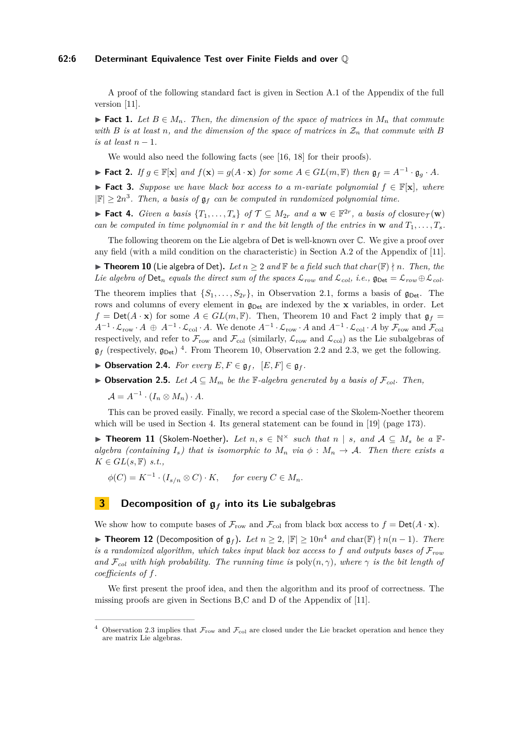#### **62:6 Determinant Equivalence Test over Finite Fields and over** Q

A proof of the following standard fact is given in Section A.1 of the Appendix of the full version [\[11\]](#page-13-14).

**► Fact 1.** Let  $B \in M_n$ . Then, the dimension of the space of matrices in  $M_n$  that commute *with B is at least n*, and the dimension of the space of matrices in  $\mathcal{Z}_n$  *that commute with B is at least*  $n-1$ *.* 

We would also need the following facts (see [\[16,](#page-13-4) [18\]](#page-13-5) for their proofs).

<span id="page-5-2"></span>► Fact 2. If  $g \in \mathbb{F}[\mathbf{x}]$  and  $f(\mathbf{x}) = g(A \cdot \mathbf{x})$  for some  $A \in GL(m, \mathbb{F})$  then  $\mathfrak{g}_f = A^{-1} \cdot \mathfrak{g}_g \cdot A$ .

<span id="page-5-5"></span>**► Fact 3.** Suppose we have black box access to a *m*-variate polynomial  $f \in \mathbb{F}[\mathbf{x}]$ , where  $|\mathbb{F}| \geq 2n^3$ . Then, a basis of  $\mathfrak{g}_f$  can be computed in randomized polynomial time.

<span id="page-5-6"></span>▶ **Fact 4.** *Given a basis*  $\{T_1, \ldots, T_s\}$  *of*  $\mathcal{T} \subseteq M_{2r}$  *and a*  $\mathbf{w} \in \mathbb{F}^{2r}$ *, a basis of* closure $\tau(\mathbf{w})$ *can be computed in time polynomial in*  $r$  *and the bit length of the entries in*  $\bf{w}$  *and*  $T_1, \ldots, T_s$ *.* 

The following theorem on the Lie algebra of Det is well-known over C. We give a proof over any field (with a mild condition on the characteristic) in Section A.2 of the Appendix of [\[11\]](#page-13-14).

<span id="page-5-0"></span>▶ **Theorem 10** (Lie algebra of Det). Let  $n \geq 2$  and  $\mathbb{F}$  be a field such that  $char(\mathbb{F}) \nmid n$ . Then, the *Lie algebra of*  $\text{Det}_n$  *equals the direct sum of the spaces*  $\mathcal{L}_{row}$  *and*  $\mathcal{L}_{col}$ *, i.e.,*  $\mathfrak{g}_{\text{Det}} = \mathcal{L}_{row} \oplus \mathcal{L}_{col}$ .

The theorem implies that  $\{S_1, \ldots, S_{2r}\}\$ , in Observation [2.1,](#page-4-1) forms a basis of  $\mathfrak{g}_{\text{Det}}\$ . The rows and columns of every element in  $\mathfrak{g}_{\text{Det}}$  are indexed by the **x** variables, in order. Let  $f = Det(A \cdot \mathbf{x})$  for some  $A \in GL(m, \mathbb{F})$ . Then, Theorem [10](#page-5-0) and Fact [2](#page-5-2) imply that  $\mathfrak{g}_f =$  $A^{-1} \cdot \mathcal{L}_{\text{row}} \cdot A \oplus A^{-1} \cdot \mathcal{L}_{\text{col}} \cdot A$ . We denote  $A^{-1} \cdot \mathcal{L}_{\text{row}} \cdot A$  and  $A^{-1} \cdot \mathcal{L}_{\text{col}} \cdot A$  by  $\mathcal{F}_{\text{row}}$  and  $\mathcal{F}_{\text{col}}$ respectively, and refer to  $\mathcal{F}_{row}$  and  $\mathcal{F}_{col}$  (similarly,  $\mathcal{L}_{row}$  and  $\mathcal{L}_{col}$ ) as the Lie subalgebras of  $\mathfrak{g}_f$  (respectively,  $\mathfrak{g}_{\text{Det}}$ )<sup>[4](#page-5-3)</sup>. From Theorem [10,](#page-5-0) Observation [2.2](#page-4-2) and [2.3,](#page-4-3) we get the following.

- ▶ Observation 2.4. *For every*  $E, F \in \mathfrak{g}_f$ ,  $[E, F] \in \mathfrak{g}_f$ .
- <span id="page-5-7"></span>**► Observation 2.5.** *Let*  $A ⊆ M_m$  *be the*  $\mathbb{F}\text{-}algebra generated by a basis of  $\mathcal{F}_{col}$ *. Then,*$

 $\mathcal{A} = A^{-1} \cdot (I_n \otimes M_n) \cdot A.$ 

This can be proved easily. Finally, we record a special case of the Skolem-Noether theorem which will be used in Section [4.](#page-9-0) Its general statement can be found in [\[19\]](#page-13-15) (page 173).

▶ Theorem 11 (Skolem-Noether). Let  $n, s \in \mathbb{N}^\times$  such that  $n | s$ , and  $A ⊆ M_s$  be a  $\mathbb{F}$ *algebra (containing*  $I_s$ ) that is isomorphic to  $M_n$  *via*  $\phi : M_n \to \mathcal{A}$ . Then there exists a  $K \in GL(s, \mathbb{F})$  *s.t.*,

 $\phi(C) = K^{-1} \cdot (I_{s/n} \otimes C) \cdot K$ , for every  $C \in M_n$ .

## <span id="page-5-1"></span>**3 Decomposition of** g*<sup>f</sup>* **into its Lie subalgebras**

We show how to compute bases of  $\mathcal{F}_{row}$  and  $\mathcal{F}_{col}$  from black box access to  $f = Det(A \cdot \mathbf{x})$ .

<span id="page-5-4"></span>▶ **Theorem 12** (Decomposition of  $\mathfrak{g}_f$ ). Let  $n \geq 2$ ,  $|\mathbb{F}| \geq 10n^4$  and char( $\mathbb{F}$ )  $\nmid n(n-1)$ . There *is a randomized algorithm, which takes input black box access to*  $f$  *and outputs bases of*  $\mathcal{F}_{row}$ *and*  $\mathcal{F}_{col}$  *with high probability. The running time is* poly $(n, \gamma)$ *, where*  $\gamma$  *is the bit length of coefficients of f.*

We first present the proof idea, and then the algorithm and its proof of correctness. The missing proofs are given in Sections B,C and D of the Appendix of [\[11\]](#page-13-14).

<span id="page-5-3"></span><sup>&</sup>lt;sup>4</sup> Observation [2.3](#page-4-3) implies that  $\mathcal{F}_{row}$  and  $\mathcal{F}_{col}$  are closed under the Lie bracket operation and hence they are matrix Lie algebras.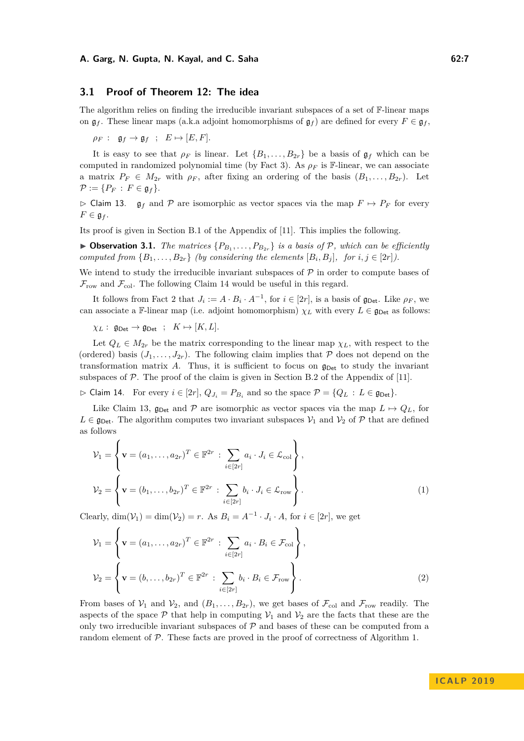#### **3.1 Proof of Theorem [12:](#page-5-4) The idea**

The algorithm relies on finding the irreducible invariant subspaces of a set of F-linear maps on  $\mathfrak{g}_f$ . These linear maps (a.k.a adjoint homomorphisms of  $\mathfrak{g}_f$ ) are defined for every  $F \in \mathfrak{g}_f$ ,

 $\rho_F$  :  $\mathfrak{g}_f \to \mathfrak{g}_f$  ;  $E \mapsto [E, F]$ *.* 

It is easy to see that  $\rho_F$  is linear. Let  $\{B_1, \ldots, B_{2r}\}$  be a basis of  $\mathfrak{g}_f$  which can be computed in randomized polynomial time (by Fact [3\)](#page-5-5). As *ρ<sup>F</sup>* is F-linear, we can associate a matrix  $P_F \in M_{2r}$  with  $\rho_F$ , after fixing an ordering of the basis  $(B_1, \ldots, B_{2r})$ . Let  $\mathcal{P} := \{P_F : F \in \mathfrak{g}_f\}.$ 

<span id="page-6-1"></span> $\triangleright$  Claim 13.  $\mathfrak{g}_f$  and  $\mathcal P$  are isomorphic as vector spaces via the map  $F \mapsto P_F$  for every  $F \in \mathfrak{g}_f$ .

Its proof is given in Section B.1 of the Appendix of [\[11\]](#page-13-14). This implies the following.

**• Observation 3.1.** *The matrices*  $\{P_{B_1}, \ldots, P_{B_{2r}}\}$  *is a basis of*  $P$ *, which can be efficiently computed from*  $\{B_1, \ldots, B_{2r}\}$  *(by considering the elements*  $[B_i, B_j]$ *, for*  $i, j \in [2r]$ *).* 

We intend to study the irreducible invariant subspaces of  $P$  in order to compute bases of  $\mathcal{F}_{row}$  and  $\mathcal{F}_{col}$ . The following Claim [14](#page-6-0) would be useful in this regard.

It follows from Fact [2](#page-5-2) that  $J_i := A \cdot B_i \cdot A^{-1}$ , for  $i \in [2r]$ , is a basis of  $\mathfrak{g}_{\text{Det}}$ . Like  $\rho_F$ , we can associate a F-linear map (i.e. adjoint homomorphism)  $\chi_L$  with every  $L \in \mathfrak{g}_{\text{Det}}$  as follows:

 $\chi_L: \mathfrak{g}_{\mathsf{Det}} \to \mathfrak{g}_{\mathsf{Det}}; \quad K \mapsto [K, L].$ 

Let  $Q_L \in M_{2r}$  be the matrix corresponding to the linear map  $\chi_L$ , with respect to the (ordered) basis  $(J_1, \ldots, J_{2r})$ . The following claim implies that P does not depend on the transformation matrix  $A$ . Thus, it is sufficient to focus on  $\mathfrak{g}_{\text{Det}}$  to study the invariant subspaces of  $P$ . The proof of the claim is given in Section B.2 of the Appendix of [\[11\]](#page-13-14).

<span id="page-6-0"></span> $\triangleright$  Claim 14. For every  $i \in [2r]$ ,  $Q_{J_i} = P_{B_i}$  and so the space  $\mathcal{P} = \{Q_L : L \in \mathfrak{g}_{\text{Det}}\}.$ 

Like Claim [13,](#page-6-1)  $\mathfrak{g}_{\text{Det}}$  and P are isomorphic as vector spaces via the map  $L \mapsto Q_L$ , for  $L \in \mathfrak{g}_{\text{Det}}$ . The algorithm computes two invariant subspaces  $\mathcal{V}_1$  and  $\mathcal{V}_2$  of  $\mathcal{P}$  that are defined as follows

<span id="page-6-3"></span>
$$
\mathcal{V}_1 = \left\{ \mathbf{v} = (a_1, \dots, a_{2r})^T \in \mathbb{F}^{2r} : \sum_{i \in [2r]} a_i \cdot J_i \in \mathcal{L}_{\text{col}} \right\},
$$
  

$$
\mathcal{V}_2 = \left\{ \mathbf{v} = (b_1, \dots, b_{2r})^T \in \mathbb{F}^{2r} : \sum_{i \in [2r]} b_i \cdot J_i \in \mathcal{L}_{\text{row}} \right\}.
$$
  
(1)

Clearly,  $\dim(\mathcal{V}_1) = \dim(\mathcal{V}_2) = r$ . As  $B_i = A^{-1} \cdot J_i \cdot A$ , for  $i \in [2r]$ , we get

<span id="page-6-2"></span>
$$
\mathcal{V}_1 = \left\{ \mathbf{v} = (a_1, \dots, a_{2r})^T \in \mathbb{F}^{2r} : \sum_{i \in [2r]} a_i \cdot B_i \in \mathcal{F}_{\text{col}} \right\},
$$
  

$$
\mathcal{V}_2 = \left\{ \mathbf{v} = (b, \dots, b_{2r})^T \in \mathbb{F}^{2r} : \sum_{i \in [2r]} b_i \cdot B_i \in \mathcal{F}_{\text{row}} \right\}.
$$
  
(2)

From bases of  $V_1$  and  $V_2$ , and  $(B_1, \ldots, B_{2r})$ , we get bases of  $\mathcal{F}_{\text{col}}$  and  $\mathcal{F}_{\text{row}}$  readily. The aspects of the space  $P$  that help in computing  $V_1$  and  $V_2$  are the facts that these are the only two irreducible invariant subspaces of  $P$  and bases of these can be computed from a random element of P. These facts are proved in the proof of correctness of Algorithm [1.](#page-7-0)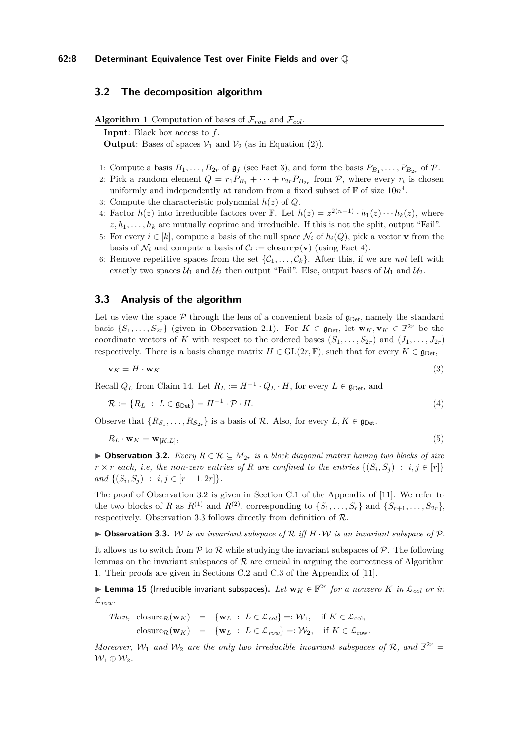## **3.2 The decomposition algorithm**

<span id="page-7-0"></span>**Algorithm 1** Computation of bases of  $\mathcal{F}_{row}$  and  $\mathcal{F}_{col}$ .

**Input**: Black box access to *f*.

<span id="page-7-3"></span>**Output**: Bases of spaces  $V_1$  and  $V_2$  (as in Equation [\(2\)](#page-6-2)).

- 1: Compute a basis  $B_1, \ldots, B_{2r}$  of  $\mathfrak{g}_f$  (see Fact [3\)](#page-5-5), and form the basis  $P_{B_1}, \ldots, P_{B_{2r}}$  of  $\mathcal{P}$ .
- <span id="page-7-6"></span>2: Pick a random element  $Q = r_1 P_{B_1} + \cdots + r_{2r} P_{B_{2r}}$  from  $P$ , where every  $r_i$  is chosen uniformly and independently at random from a fixed subset of  $\mathbb F$  of size  $10n^4$ .
- 3: Compute the characteristic polynomial *h*(*z*) of *Q*.
- <span id="page-7-7"></span>4: Factor  $h(z)$  into irreducible factors over F. Let  $h(z) = z^{2(n-1)} \cdot h_1(z) \cdots h_k(z)$ , where  $z, h_1, \ldots, h_k$  are mutually coprime and irreducible. If this is not the split, output "Fail".
- <span id="page-7-10"></span>5: For every  $i \in [k]$ , compute a basis of the null space  $\mathcal{N}_i$  of  $h_i(Q)$ , pick a vector **v** from the basis of  $\mathcal{N}_i$  and compute a basis of  $\mathcal{C}_i := \text{closure}_{\mathcal{P}}(\mathbf{v})$  (using Fact [4\)](#page-5-6).
- 6: Remove repetitive spaces from the set  $\{\mathcal{C}_1, \ldots, \mathcal{C}_k\}$ . After this, if we are *not* left with exactly two spaces  $U_1$  and  $U_2$  then output "Fail". Else, output bases of  $U_1$  and  $U_2$ .

## **3.3 Analysis of the algorithm**

Let us view the space  $\mathcal P$  through the lens of a convenient basis of  $\mathfrak{g}_{\text{Det}}$ , namely the standard basis  $\{S_1, \ldots, S_{2r}\}\$  (given in Observation [2.1\)](#page-4-1). For  $K \in \mathfrak{g}_{\mathsf{Det}}$ , let  $\mathbf{w}_K, \mathbf{v}_K \in \mathbb{F}^{2r}$  be the coordinate vectors of *K* with respect to the ordered bases  $(S_1, \ldots, S_{2r})$  and  $(J_1, \ldots, J_{2r})$ respectively. There is a basis change matrix  $H \in GL(2r, \mathbb{F})$ , such that for every  $K \in \mathfrak{g}_{\text{Det}}$ ,

<span id="page-7-8"></span><span id="page-7-4"></span>
$$
\mathbf{v}_K = H \cdot \mathbf{w}_K. \tag{3}
$$

Recall  $Q_L$  from Claim [14.](#page-6-0) Let  $R_L := H^{-1} \cdot Q_L \cdot H$ , for every  $L \in \mathfrak{g}_{\mathsf{Det}}$ , and

$$
\mathcal{R} := \{ R_L : L \in \mathfrak{g}_{\text{Det}} \} = H^{-1} \cdot \mathcal{P} \cdot H. \tag{4}
$$

Observe that  $\{R_{S_1}, \ldots, R_{S_{2r}}\}$  is a basis of  $\mathcal{R}$ . Also, for every  $L, K \in \mathfrak{g}_{\mathsf{Det}}$ .

$$
R_L \cdot \mathbf{w}_K = \mathbf{w}_{[K,L]},\tag{5}
$$

<span id="page-7-1"></span>**► Observation 3.2.** *Every*  $R \in \mathcal{R} \subseteq M_{2r}$  *is a block diagonal matrix having two blocks of size*  $r \times r$  *each, i.e, the non-zero entries of R are confined to the entries*  $\{(S_i, S_j) : i, j \in [r]\}$ *and*  $\{(S_i, S_j) : i, j \in [r+1, 2r]\}.$ 

The proof of Observation [3.2](#page-7-1) is given in Section C.1 of the Appendix of [\[11\]](#page-13-14). We refer to the two blocks of *R* as  $R^{(1)}$  and  $R^{(2)}$ , corresponding to  $\{S_1, \ldots, S_r\}$  and  $\{S_{r+1}, \ldots, S_{2r}\}$ , respectively. Observation [3.3](#page-7-2) follows directly from definition of  $\mathcal{R}$ .

<span id="page-7-2"></span> $\triangleright$  **Observation 3.3.** W *is an invariant subspace of* R *iff*  $H \cdot W$  *is an invariant subspace of* P.

It allows us to switch from  $P$  to  $R$  while studying the invariant subspaces of  $P$ . The following lemmas on the invariant subspaces of  $R$  are crucial in arguing the correctness of Algorithm [1.](#page-7-0) Their proofs are given in Sections C.2 and C.3 of the Appendix of [\[11\]](#page-13-14).

<span id="page-7-9"></span>I **Lemma 15** (Irreducible invariant subspaces)**.** *Let* **w***<sup>K</sup>* ∈ F 2*r for a nonzero K in* L*col or in*  $\mathcal{L}_{row}$ *.* 

Then, closure<sub>R</sub>(
$$
\mathbf{w}_K
$$
) = { $\mathbf{w}_L$  :  $L \in \mathcal{L}_{col}$ } =:  $\mathcal{W}_1$ , if  $K \in \mathcal{L}_{col}$ ,  
closure<sub>R</sub>( $\mathbf{w}_K$ ) = { $\mathbf{w}_L$  :  $L \in \mathcal{L}_{row}$ } =:  $\mathcal{W}_2$ , if  $K \in \mathcal{L}_{row}$ .

<span id="page-7-5"></span>*Moreover,*  $W_1$  *and*  $W_2$  *are the only two irreducible invariant subspaces of*  $\mathcal{R}$ *, and*  $\mathbb{F}^{2r}$  =  $\mathcal{W}_1 \oplus \mathcal{W}_2$ .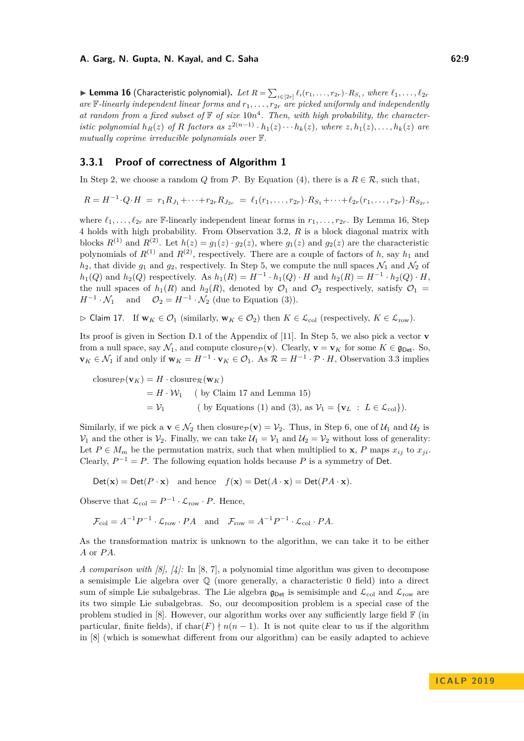#### **A. Garg, N. Gupta, N. Kayal, and C. Saha 62:9 62:9 62:9**

► Lemma 16 (Characteristic polynomial). Let  $R = \sum_{i \in [2r]} \ell_i(r_1,\ldots,r_{2r}) \cdot R_{S_i}$ , where  $\ell_1,\ldots,\ell_{2r}$ *are*  $\mathbb{F}$ -linearly independent linear forms and  $r_1, \ldots, r_{2r}$  are picked uniformly and independently at random from a fixed subset of  $\mathbb F$  of size  $10n^4$ . Then, with high probability, the characteristic polynomial  $h_R(z)$  of R factors as  $z^{2(n-1)} \cdot h_1(z) \cdots h_k(z)$ , where  $z, h_1(z), \ldots, h_k(z)$  are *mutually coprime irreducible polynomials over* F*.*

## **3.3.1 Proof of correctness of Algorithm [1](#page-7-0)**

In Step [2,](#page-7-3) we choose a random *Q* from *P*. By Equation [\(4\)](#page-7-4), there is a  $R \in \mathcal{R}$ , such that,

$$
R = H^{-1} \cdot Q \cdot H = r_1 R_{J_1} + \dots + r_{2r} R_{J_{2r}} = \ell_1(r_1, \dots, r_{2r}) \cdot R_{S_1} + \dots + \ell_{2r}(r_1, \dots, r_{2r}) \cdot R_{S_{2r}},
$$

where  $\ell_1, \ldots, \ell_{2r}$  are F-linearly independent linear forms in  $r_1, \ldots, r_{2r}$ . By Lemma [16,](#page-7-5) Step [4](#page-7-6) holds with high probability. From Observation [3.2,](#page-7-1) *R* is a block diagonal matrix with blocks  $R^{(1)}$  and  $R^{(2)}$ . Let  $h(z) = g_1(z) \cdot g_2(z)$ , where  $g_1(z)$  and  $g_2(z)$  are the characteristic polynomials of  $R^{(1)}$  and  $R^{(2)}$ , respectively. There are a couple of factors of *h*, say  $h_1$  and  $h_2$ , that divide  $g_1$  and  $g_2$ , respectively. In Step [5,](#page-7-7) we compute the null spaces  $\mathcal{N}_1$  and  $\mathcal{N}_2$  of *h*<sub>1</sub>(*Q*) and *h*<sub>2</sub>(*Q*) respectively. As  $h_1(R) = H^{-1} \cdot h_1(Q) \cdot H$  and  $h_2(R) = H^{-1} \cdot h_2(Q) \cdot H$ , the null spaces of  $h_1(R)$  and  $h_2(R)$ , denoted by  $\mathcal{O}_1$  and  $\mathcal{O}_2$  respectively, satisfy  $\mathcal{O}_1$  =  $H^{-1} \cdot \mathcal{N}_1$  and  $\mathcal{O}_2 = H^{-1} \cdot \mathcal{N}_2$  (due to Equation [\(3\)](#page-7-8)).

<span id="page-8-0"></span> $\triangleright$  Claim 17. If  $\mathbf{w}_K \in \mathcal{O}_1$  (similarly,  $\mathbf{w}_K \in \mathcal{O}_2$ ) then  $K \in \mathcal{L}_{\text{col}}$  (respectively,  $K \in \mathcal{L}_{\text{row}}$ ).

Its proof is given in Section D.1 of the Appendix of [\[11\]](#page-13-14). In Step [5,](#page-7-7) we also pick a vector **v** from a null space, say  $\mathcal{N}_1$ , and compute closure $p(\mathbf{v})$ . Clearly,  $\mathbf{v} = \mathbf{v}_K$  for some  $K \in \mathfrak{g}_{\text{Det}}$ . So, **v**<sub>*K*</sub> ∈  $\mathcal{N}_1$  if and only if  $\mathbf{w}_K = H^{-1} \cdot \mathbf{v}_K \in \mathcal{O}_1$ . As  $\mathcal{R} = H^{-1} \cdot \mathcal{P} \cdot H$ , Observation [3.3](#page-7-2) implies

closure<sub>$$
\mathcal{P}
$$</sub>(**v**<sub>*K*</sub>) = *H* · closure <sub>$\mathcal{R}$</sub> (**w**<sub>*K*</sub>)  
= *H* · *W*<sub>1</sub> (by Claim 17 and Lemma 15)  
= *V*<sub>1</sub> (by Equations (1) and (3), as *V*<sub>1</sub> = {**v**<sub>*L*</sub> : *L*  $\in$  *L*<sub>col</sub>}).

Similarly, if we pick a  $\mathbf{v} \in \mathcal{N}_2$  then closure $p(\mathbf{v}) = \mathcal{V}_2$ . Thus, in Step [6,](#page-7-10) one of  $\mathcal{U}_1$  and  $\mathcal{U}_2$  is  $\mathcal{V}_1$  and the other is  $\mathcal{V}_2$ . Finally, we can take  $\mathcal{U}_1 = \mathcal{V}_1$  and  $\mathcal{U}_2 = \mathcal{V}_2$  without loss of generality: Let  $P \in M_m$  be the permutation matrix, such that when multiplied to **x**, *P* maps  $x_{ij}$  to  $x_{ji}$ . Clearly,  $P^{-1} = P$ . The following equation holds because P is a symmetry of Det.

$$
Det(\mathbf{x}) = Det(P \cdot \mathbf{x}) \text{ and hence } f(\mathbf{x}) = Det(A \cdot \mathbf{x}) = Det(PA \cdot \mathbf{x}).
$$

Observe that  $\mathcal{L}_{\text{col}} = P^{-1} \cdot \mathcal{L}_{\text{row}} \cdot P$ . Hence,

$$
\mathcal{F}_{\text{col}} = A^{-1}P^{-1} \cdot \mathcal{L}_{\text{row}} \cdot PA \quad \text{and} \quad \mathcal{F}_{\text{row}} = A^{-1}P^{-1} \cdot \mathcal{L}_{\text{col}} \cdot PA.
$$

As the transformation matrix is unknown to the algorithm, we can take it to be either *A* or *P A*.

*A comparison with [\[8\]](#page-13-16), [\[4\]](#page-13-0):* In [\[8,](#page-13-16) [7\]](#page-13-17), a polynomial time algorithm was given to decompose a semisimple Lie algebra over  $\mathbb Q$  (more generally, a characteristic 0 field) into a direct sum of simple Lie subalgebras. The Lie algebra  $\mathfrak{g}_{\text{Det}}$  is semisimple and  $\mathcal{L}_{\text{col}}$  and  $\mathcal{L}_{\text{row}}$  are its two simple Lie subalgebras. So, our decomposition problem is a special case of the problem studied in [\[8\]](#page-13-16). However, our algorithm works over any sufficiently large field  $\mathbb{F}$  (in particular, finite fields), if  $char(F) \nmid n(n-1)$ . It is not quite clear to us if the algorithm in [\[8\]](#page-13-16) (which is somewhat different from our algorithm) can be easily adapted to achieve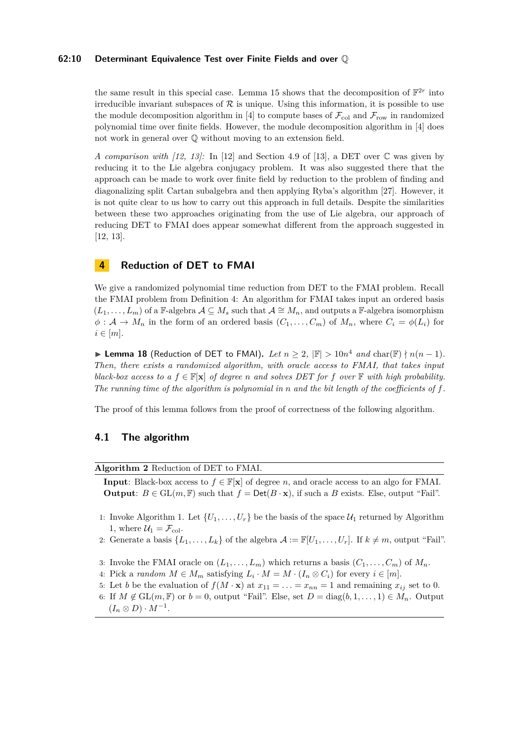#### **62:10 Determinant Equivalence Test over Finite Fields and over** Q

the same result in this special case. Lemma [15](#page-7-9) shows that the decomposition of  $\mathbb{F}^{2r}$  into irreducible invariant subspaces of  $R$  is unique. Using this information, it is possible to use the module decomposition algorithm in [\[4\]](#page-13-0) to compute bases of  $\mathcal{F}_{\text{col}}$  and  $\mathcal{F}_{\text{row}}$  in randomized polynomial time over finite fields. However, the module decomposition algorithm in [\[4\]](#page-13-0) does not work in general over Q without moving to an extension field.

*A comparison with*  $(12, 13)$ *:* In  $[12]$  and Section 4.9 of  $[13]$  $[13]$ , a DET over  $\mathbb C$  was given by reducing it to the Lie algebra conjugacy problem. It was also suggested there that the approach can be made to work over finite field by reduction to the problem of finding and diagonalizing split Cartan subalgebra and then applying Ryba's algorithm [\[27\]](#page-14-11). However, it is not quite clear to us how to carry out this approach in full details. Despite the similarities between these two approaches originating from the use of Lie algebra, our approach of reducing DET to FMAI does appear somewhat different from the approach suggested in [\[12,](#page-13-18) [13\]](#page-13-6).

## <span id="page-9-0"></span>**4 Reduction of DET to FMAI**

We give a randomized polynomial time reduction from DET to the FMAI problem. Recall the FMAI problem from Definition [4:](#page-3-1) An algorithm for FMAI takes input an ordered basis  $(L_1, \ldots, L_m)$  of a F-algebra  $\mathcal{A} \subseteq M_s$  such that  $\mathcal{A} \cong M_n$ , and outputs a F-algebra isomorphism  $\phi: \mathcal{A} \to M_n$  in the form of an ordered basis  $(C_1, \ldots, C_m)$  of  $M_n$ , where  $C_i = \phi(L_i)$  for  $i \in [m]$ .

▶ Lemma 18 (Reduction of DET to FMAI). Let  $n \geq 2$ ,  $|\mathbb{F}| > 10n^4$  and char( $\mathbb{F}) \nmid n(n-1)$ . *Then, there exists a randomized algorithm, with oracle access to FMAI, that takes input black-box access to a*  $f \in \mathbb{F}[\mathbf{x}]$  *of degree n and solves DET* for *f over*  $\mathbb{F}$  *with high probability. The running time of the algorithm is polynomial in n and the bit length of the coefficients of f.*

The proof of this lemma follows from the proof of correctness of the following algorithm.

## **4.1 The algorithm**

<span id="page-9-1"></span>**Algorithm 2** Reduction of DET to FMAI.

**Input**: Black-box access to  $f \in \mathbb{F}[\mathbf{x}]$  of degree *n*, and oracle access to an algo for FMAI. **Output**:  $B \in GL(m, \mathbb{F})$  such that  $f = Det(B \cdot \mathbf{x})$ , if such a *B* exists. Else, output "Fail".

- 1: Invoke Algorithm [1.](#page-7-0) Let  $\{U_1, \ldots, U_r\}$  be the basis of the space  $\mathcal{U}_1$  returned by Algorithm [1,](#page-7-0) where  $\mathcal{U}_1 = \mathcal{F}_{\text{col}}$ .
- <span id="page-9-2"></span>2: Generate a basis  $\{L_1, \ldots, L_k\}$  of the algebra  $\mathcal{A} := \mathbb{F}[U_1, \ldots, U_r]$ . If  $k \neq m$ , output "Fail".
- <span id="page-9-3"></span>3: Invoke the FMAI oracle on  $(L_1, \ldots, L_m)$  which returns a basis  $(C_1, \ldots, C_m)$  of  $M_n$ .
- <span id="page-9-4"></span>4: Pick a *random*  $M \in M_m$  satisfying  $L_i \cdot M = M \cdot (I_n \otimes C_i)$  for every  $i \in [m]$ .
- 5: Let *b* be the evaluation of  $f(M \cdot \mathbf{x})$  at  $x_{11} = \ldots = x_{nn} = 1$  and remaining  $x_{ij}$  set to 0.
- 6: If  $M \notin GL(m, \mathbb{F})$  or  $b = 0$ , output "Fail". Else, set  $D = diag(b, 1, \ldots, 1) \in M_n$ . Output  $(I_n \otimes D) \cdot M^{-1}.$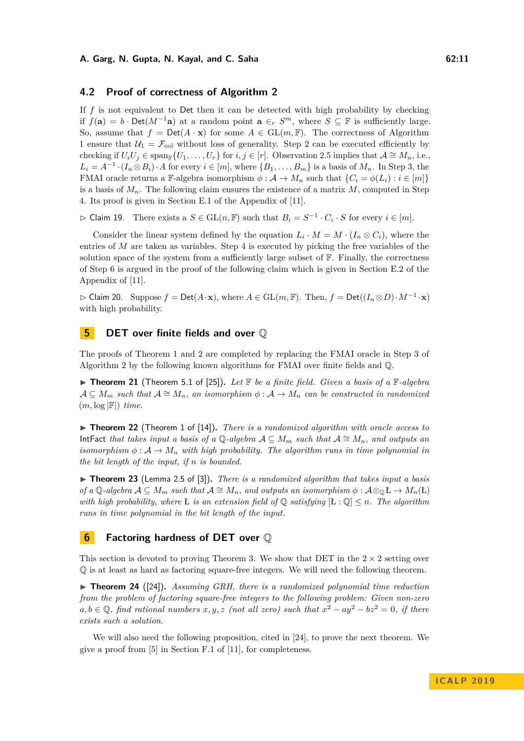## **4.2 Proof of correctness of Algorithm [2](#page-9-1)**

If *f* is not equivalent to Det then it can be detected with high probability by checking if  $f(\mathbf{a}) = b \cdot \text{Det}(M^{-1}\mathbf{a})$  at a random point  $\mathbf{a} \in_r S^m$ , where  $S \subseteq \mathbb{F}$  is sufficiently large. So, assume that  $f = Det(A \cdot x)$  for some  $A \in GL(m, \mathbb{F})$ . The correctness of Algorithm [1](#page-7-0) ensure that  $U_1 = \mathcal{F}_{\text{col}}$  without loss of generality. Step 2 can be executed efficiently by checking if  $U_iU_j \in \text{span}_{\mathbb{F}}\{U_1,\ldots,U_r\}$  for  $i,j \in [r]$ . Observation [2.5](#page-5-7) implies that  $\mathcal{A} \cong M_n$ , i.e.,  $L_i = A^{-1} \cdot (I_n \otimes B_i) \cdot A$  for every  $i \in [m]$ , where  $\{B_1, \ldots, B_m\}$  is a basis of  $M_n$ . In Step [3,](#page-9-2) the FMAI oracle returns a F-algebra isomorphism  $\phi : A \to M_n$  such that  $\{C_i = \phi(L_i) : i \in [m]\}$ is a basis of  $M_n$ . The following claim ensures the existence of a matrix  $M$ , computed in Step [4.](#page-9-3) Its proof is given in Section E.1 of the Appendix of [\[11\]](#page-13-14).

 $\triangleright$  Claim 19. There exists a  $S \in GL(n, \mathbb{F})$  such that  $B_i = S^{-1} \cdot C_i \cdot S$  for every  $i \in [m]$ .

Consider the linear system defined by the equation  $L_i \cdot M = M \cdot (I_n \otimes C_i)$ , where the entries of *M* are taken as variables. Step [4](#page-9-3) is executed by picking the free variables of the solution space of the system from a sufficiently large subset of  $\mathbb{F}$ . Finally, the correctness of Step [6](#page-9-4) is argued in the proof of the following claim which is given in Section E.2 of the Appendix of [\[11\]](#page-13-14).

 $\triangleright$  Claim 20. Suppose  $f = Det(A \cdot \mathbf{x})$ , where  $A \in GL(m, \mathbb{F})$ . Then,  $f = Det((I_n \otimes D) \cdot M^{-1} \cdot \mathbf{x})$ with high probability.

## **5 DET over finite fields and over** Q

The proofs of Theorem [1](#page-2-1) and [2](#page-2-2) are completed by replacing the FMAI oracle in Step [3](#page-9-2) of Algorithm [2](#page-9-1) by the following known algorithms for FMAI over finite fields and Q.

 $\triangleright$  **Theorem 21** (Theorem 5.1 of [\[25\]](#page-14-9)). Let  $\mathbb{F}$  be a finite field. Given a basis of a  $\mathbb{F}$ -algebra  $A \subseteq M_m$  such that  $A \cong M_n$ , an isomorphism  $\phi : A \to M_n$  can be constructed in randomized (*m,* log |F|) *time.*

▶ **Theorem 22** (Theorem 1 of [\[14\]](#page-13-9)). *There is a randomized algorithm with oracle access to* IntFact *that takes input a basis of a*  $\mathbb{Q}$ -algebra  $\mathcal{A} \subseteq M_m$  such that  $\mathcal{A} \cong M_n$ , and outputs an *isomorphism*  $\phi : \mathcal{A} \to M_n$  *with high probability. The algorithm runs in time polynomial in the bit length of the input, if n is bounded.*

▶ **Theorem 23** (Lemma 2.5 of [\[3\]](#page-13-11)). *There is a randomized algorithm that takes input a basis of a*  $\mathbb{Q}$ -algebra  $\mathcal{A} \subseteq M_m$  *such that*  $\mathcal{A} \cong M_n$ *, and outputs an isomorphism*  $\phi : \mathcal{A} \otimes_{\mathbb{Q}} \mathbb{E} \to M_n(\mathbb{E})$ *with high probability, where* L *is an extension field of*  $\mathbb{Q}$  *satisfying*  $\lbrack L:\mathbb{Q} \rbrack \leq n$ . The algorithm *runs in time polynomial in the bit length of the input.*

## **6 Factoring hardness of DET over** Q

This section is devoted to proving Theorem [3.](#page-3-0) We show that DET in the  $2 \times 2$  setting over Q is at least as hard as factoring square-free integers. We will need the following theorem.

<span id="page-10-0"></span> $\triangleright$  **Theorem 24** ([\[24\]](#page-14-8)). *Assuming GRH, there is a randomized polynomial time reduction from the problem of factoring square-free integers to the following problem: Given non-zero*  $a, b \in \mathbb{Q}$ , find rational numbers  $x, y, z$  (not all zero) such that  $x^2 - ay^2 - bz^2 = 0$ , if there *exists such a solution.*

We will also need the following proposition, cited in [\[24\]](#page-14-8), to prove the next theorem. We give a proof from [\[5\]](#page-13-19) in Section F.1 of [\[11\]](#page-13-14), for completeness.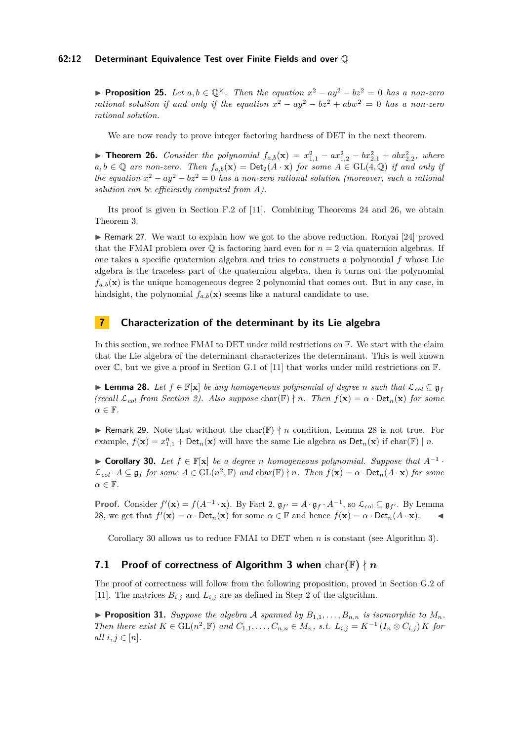#### **62:12 Determinant Equivalence Test over Finite Fields and over** Q

**► Proposition 25.** Let  $a, b \in \mathbb{Q}^{\times}$ . Then the equation  $x^2 - ay^2 - bz^2 = 0$  has a non-zero *rational solution if and only if the equation*  $x^2 - ay^2 - bz^2 + abw^2 = 0$  *has a non-zero rational solution.*

We are now ready to prove integer factoring hardness of DET in the next theorem.

<span id="page-11-1"></span>▶ **Theorem 26.** *Consider the polynomial*  $f_{a,b}(\mathbf{x}) = x_{1,1}^2 - ax_{1,2}^2 - bx_{2,1}^2 + abx_{2,2}^2$ , where  $a, b \in \mathbb{Q}$  are non-zero. Then  $f_{a,b}(\mathbf{x}) = \text{Det}_2(A \cdot \mathbf{x})$  for some  $A \in GL(4, \mathbb{Q})$  if and only if *the equation*  $x^2 - ay^2 - bz^2 = 0$  *has a non-zero rational solution (moreover, such a rational solution can be efficiently computed from A).*

Its proof is given in Section F.2 of [\[11\]](#page-13-14). Combining Theorems [24](#page-10-0) and [26,](#page-11-1) we obtain Theorem [3.](#page-3-0)

► Remark 27. We want to explain how we got to the above reduction. Ronyai [\[24\]](#page-14-8) proved that the FMAI problem over  $\mathbb Q$  is factoring hard even for  $n=2$  via quaternion algebras. If one takes a specific quaternion algebra and tries to constructs a polynomial *f* whose Lie algebra is the traceless part of the quaternion algebra, then it turns out the polynomial  $f_{a,b}(\mathbf{x})$  is the unique homogeneous degree 2 polynomial that comes out. But in any case, in hindsight, the polynomial  $f_{a,b}(\mathbf{x})$  seems like a natural candidate to use.

## <span id="page-11-0"></span>**7 Characterization of the determinant by its Lie algebra**

In this section, we reduce FMAI to DET under mild restrictions on F. We start with the claim that the Lie algebra of the determinant characterizes the determinant. This is well known over C, but we give a proof in Section G.1 of [\[11\]](#page-13-14) that works under mild restrictions on  $\mathbb{F}$ .

<span id="page-11-2"></span>**► Lemma 28.** Let  $f \in \mathbb{F}[\mathbf{x}]$  be any homogeneous polynomial of degree *n* such that  $\mathcal{L}_{col} \subseteq \mathfrak{g}_f$  $(recall \mathcal{L}_{col}$  *from Section [2\)](#page-4-4). Also suppose* char( $\mathbb{F}) \nmid n$ *. Then*  $f(\mathbf{x}) = \alpha \cdot \text{Det}_n(\mathbf{x})$  *for some α* ∈ F*.*

**If Remark 29.** Note that without the char( $\mathbb{F}$ )  $\nmid n$  condition, Lemma [28](#page-11-2) is not true. For example,  $f(\mathbf{x}) = x_{1,1}^n + \text{Det}_n(\mathbf{x})$  will have the same Lie algebra as  $\text{Det}_n(\mathbf{x})$  if  $\text{char}(\mathbb{F}) \mid n$ .

<span id="page-11-3"></span>**► Corollary 30.** Let  $f \in \mathbb{F}[\mathbf{x}]$  be a degree *n* homogeneous polynomial. Suppose that  $A^{-1}$ .  $\mathcal{L}_{col} \cdot A \subseteq \mathfrak{g}_f$  *for some*  $A \in GL(n^2, \mathbb{F})$  *and* char( $\mathbb{F}) \nmid n$ . Then  $f(\mathbf{x}) = \alpha \cdot \text{Det}_n(A \cdot \mathbf{x})$  *for some*  $\alpha \in \mathbb{F}$ .

**Proof.** Consider  $f'(\mathbf{x}) = f(A^{-1} \cdot \mathbf{x})$ . By Fact [2,](#page-5-2)  $\mathfrak{g}_{f'} = A \cdot \mathfrak{g}_f \cdot A^{-1}$ , so  $\mathcal{L}_{\text{col}} \subseteq \mathfrak{g}_{f'}$ . By Lemma [28,](#page-11-2) we get that  $f'(\mathbf{x}) = \alpha \cdot \text{Det}_n(\mathbf{x})$  for some  $\alpha \in \mathbb{F}$  and hence  $f(\mathbf{x}) = \alpha \cdot \text{Det}_n(A \cdot \mathbf{x})$ .

Corollary [30](#page-11-3) allows us to reduce FMAI to DET when *n* is constant (see Algorithm [3\)](#page-12-0).

## **7.1 Proof of correctness of Algorithm** [3](#page-12-0) when  $char(\mathbb{F}) \nmid n$

The proof of correctness will follow from the following proposition, proved in Section G.2 of [\[11\]](#page-13-14). The matrices  $B_{i,j}$  and  $L_{i,j}$  are as defined in Step [2](#page-12-1) of the algorithm.

<span id="page-11-4"></span>**Proposition 31.** *Suppose the algebra* A *spanned by*  $B_1$ ,  $\ldots$ ,  $B_n$ *n is isomorphic to*  $M_n$ *.* Then there exist  $K \in GL(n^2, \mathbb{F})$  and  $C_{1,1}, \ldots, C_{n,n} \in M_n$ , s.t.  $L_{i,j} = K^{-1} (I_n \otimes C_{i,j}) K$  for *all*  $i, j \in [n]$ *.*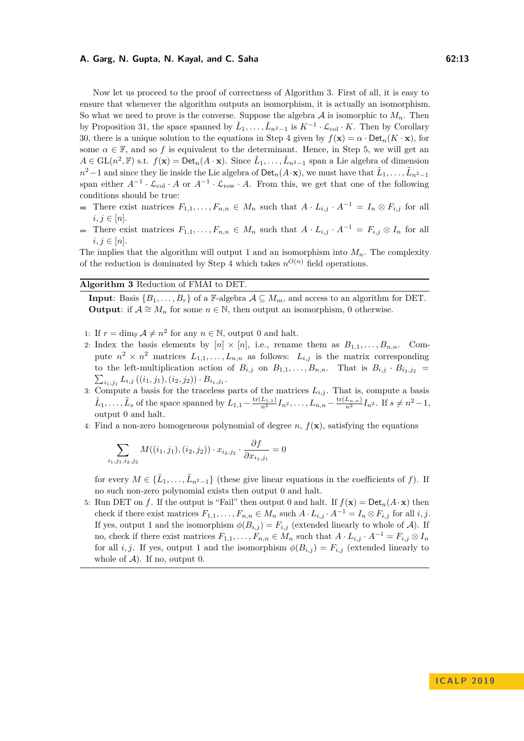Now let us proceed to the proof of correctness of Algorithm [3.](#page-12-0) First of all, it is easy to ensure that whenever the algorithm outputs an isomorphism, it is actually an isomorphism. So what we need to prove is the converse. Suppose the algebra  $A$  is isomorphic to  $M_n$ . Then by Proposition [31,](#page-11-4) the space spanned by  $\tilde{L}_1, \ldots, \tilde{L}_{n^2-1}$  is  $K^{-1} \cdot \mathcal{L}_{\text{col}} \cdot K$ . Then by Corollary [30,](#page-11-3) there is a unique solution to the equations in Step [4](#page-12-2) given by  $f(\mathbf{x}) = \alpha \cdot \mathrm{Det}_n(K \cdot \mathbf{x})$ , for some  $\alpha \in \mathbb{F}$ , and so f is equivalent to the determinant. Hence, in Step [5,](#page-12-3) we will get an *A* ∈ GL( $n^2$ , **F**) s.t.  $f(\mathbf{x}) = \text{Det}_n(A \cdot \mathbf{x})$ . Since  $\tilde{L}_1, \ldots, \tilde{L}_{n^2-1}$  span a Lie algebra of dimension *n*<sup>2</sup> − 1 and since they lie inside the Lie algebra of Det<sub>*n*</sub>(*A*⋅**x**), we must have that  $\tilde{L}_1, \ldots, \tilde{L}_{n^2-1}$ span either  $A^{-1} \cdot \mathcal{L}_{col} \cdot A$  or  $A^{-1} \cdot \mathcal{L}_{row} \cdot A$ . From this, we get that one of the following conditions should be true:

- There exist matrices  $F_{1,1}, \ldots, F_{n,n}$  ∈  $M_n$  such that  $A \cdot L_{i,j} \cdot A^{-1} = I_n \otimes F_{i,j}$  for all  $i, j \in [n]$ .
- There exist matrices  $F_{1,1}, \ldots, F_{n,n}$  ∈  $M_n$  such that  $A \cdot L_{i,j} \cdot A^{-1} = F_{i,j} \otimes I_n$  for all  $i, j \in [n]$ .

The implies that the algorithm will output 1 and an isomorphism into  $M_n$ . The complexity of the reduction is dominated by Step [4](#page-12-2) which takes  $n^{O(n)}$  field operations.

## <span id="page-12-0"></span>**Algorithm 3** Reduction of FMAI to DET.

**Input:** Basis  $\{B_1, \ldots, B_r\}$  of a F-algebra  $\mathcal{A} \subseteq M_m$ , and access to an algorithm for DET. **Output**: if  $A \cong M_n$  for some  $n \in \mathbb{N}$ , then output an isomorphism, 0 otherwise.

- <span id="page-12-1"></span>1: If  $r = \dim_{\mathbb{F}} \mathcal{A} \neq n^2$  for any  $n \in \mathbb{N}$ , output 0 and halt.
- 2: Index the basis elements by  $[n] \times [n]$ , i.e., rename them as  $B_{1,1}, \ldots, B_{n,n}$ . Compute  $n^2 \times n^2$  matrices  $L_{1,1}, \ldots, L_{n,n}$  as follows:  $L_{i,j}$  is the matrix corresponding to the left-multiplication action of  $B_{i,j}$  on  $B_{1,1}, \ldots, B_{n,n}$ . That is  $B_{i,j} \cdot B_{i_2,j_2}$  =  $\sum_{i_1,j_1} L_{i,j}((i_1,j_1),(i_2,j_2)) \cdot B_{i_1,j_1}.$
- 3: Compute a basis for the traceless parts of the matrices  $L_{i,j}$ . That is, compute a basis  $\tilde{L}_1, \ldots, \tilde{L}_s$  of the space spanned by  $L_{1,1} - \frac{\text{tr}(L_{1,1})}{n^2} I_{n^2}, \ldots, L_{n,n} - \frac{\text{tr}(L_{n,n})}{n^2} I_{n^2}$ . If  $s \neq n^2 - 1$ , output 0 and halt.
- 4: Find a non-zero homogeneous polynomial of degree  $n$ ,  $f(\mathbf{x})$ , satisfying the equations

<span id="page-12-3"></span><span id="page-12-2"></span>
$$
\sum_{i_1,j_1,i_2,j_2} M((i_1,j_1),(i_2,j_2)) \cdot x_{i_2,j_2} \cdot \frac{\partial f}{\partial x_{i_1,j_1}} = 0
$$

for every  $M \in {\{\tilde{L}_1, \ldots, \tilde{L}_{n^2-1}\}}$  (these give linear equations in the coefficients of f). If no such non-zero polynomial exists then output 0 and halt.

5: Run DET on *f*. If the output is "Fail" then output 0 and halt. If  $f(\mathbf{x}) = \text{Det}_n(A \cdot \mathbf{x})$  then check if there exist matrices  $F_{1,1}, \ldots, F_{n,n} \in M_n$  such  $A \cdot L_{i,j} \cdot A^{-1} = I_n \otimes F_{i,j}$  for all  $i, j$ . If yes, output 1 and the isomorphism  $\phi(B_{i,j}) = F_{i,j}$  (extended linearly to whole of A). If no, check if there exist matrices  $F_{1,1}, \ldots, F_{n,n} \in M_n$  such that  $A \cdot L_{i,j} \cdot A^{-1} = F_{i,j} \otimes I_n$ for all *i, j*. If yes, output 1 and the isomorphism  $\phi(B_{i,j}) = F_{i,j}$  (extended linearly to whole of  $A$ ). If no, output 0.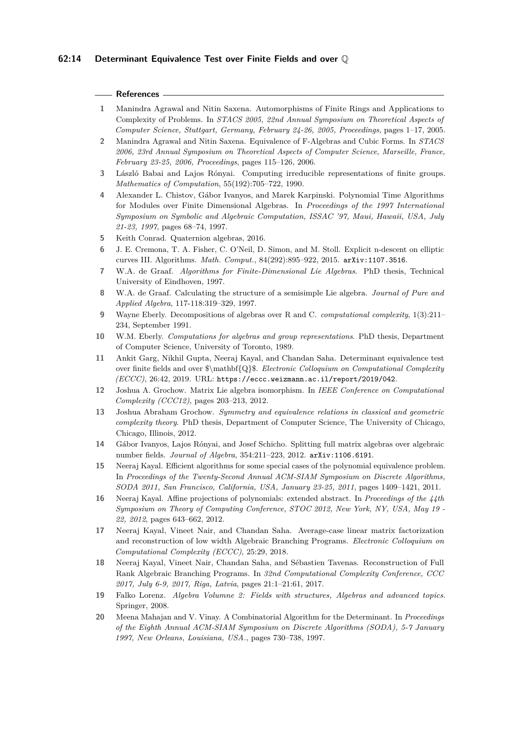#### **References**

- <span id="page-13-1"></span>**1** Manindra Agrawal and Nitin Saxena. Automorphisms of Finite Rings and Applications to Complexity of Problems. In *STACS 2005, 22nd Annual Symposium on Theoretical Aspects of Computer Science, Stuttgart, Germany, February 24-26, 2005, Proceedings*, pages 1–17, 2005.
- <span id="page-13-2"></span>**2** Manindra Agrawal and Nitin Saxena. Equivalence of F-Algebras and Cubic Forms. In *STACS 2006, 23rd Annual Symposium on Theoretical Aspects of Computer Science, Marseille, France, February 23-25, 2006, Proceedings*, pages 115–126, 2006.
- <span id="page-13-11"></span>**3** László Babai and Lajos Rónyai. Computing irreducible representations of finite groups. *Mathematics of Computation*, 55(192):705–722, 1990.
- <span id="page-13-0"></span>**4** Alexander L. Chistov, Gábor Ivanyos, and Marek Karpinski. Polynomial Time Algorithms for Modules over Finite Dimensional Algebras. In *Proceedings of the 1997 International Symposium on Symbolic and Algebraic Computation, ISSAC '97, Maui, Hawaii, USA, July 21-23, 1997*, pages 68–74, 1997.
- <span id="page-13-19"></span>**5** Keith Conrad. Quaternion algebras, 2016.
- <span id="page-13-10"></span>**6** J. E. Cremona, T. A. Fisher, C. O'Neil, D. Simon, and M. Stoll. Explicit n-descent on elliptic curves III. Algorithms. *Math. Comput.*, 84(292):895–922, 2015. [arXiv:1107.3516](http://arxiv.org/abs/1107.3516).
- <span id="page-13-17"></span>**7** W.A. de Graaf. *Algorithms for Finite-Dimensional Lie Algebras*. PhD thesis, Technical University of Eindhoven, 1997.
- <span id="page-13-16"></span>**8** W.A. de Graaf. Calculating the structure of a semisimple Lie algebra. *Journal of Pure and Applied Algebra*, 117-118:319–329, 1997.
- <span id="page-13-13"></span>**9** Wayne Eberly. Decompositions of algebras over R and C. *computational complexity*, 1(3):211– 234, September 1991.
- <span id="page-13-12"></span>**10** W.M. Eberly. *Computations for algebras and group representations*. PhD thesis, Department of Computer Science, University of Toronto, 1989.
- <span id="page-13-14"></span>**11** Ankit Garg, Nikhil Gupta, Neeraj Kayal, and Chandan Saha. Determinant equivalence test over finite fields and over \$\mathbf{Q}\$. *Electronic Colloquium on Computational Complexity (ECCC)*, 26:42, 2019. URL: <https://eccc.weizmann.ac.il/report/2019/042>.
- <span id="page-13-18"></span>**12** Joshua A. Grochow. Matrix Lie algebra isomorphism. In *IEEE Conference on Computational Complexity (CCC12)*, pages 203–213, 2012.
- <span id="page-13-6"></span>**13** Joshua Abraham Grochow. *Symmetry and equivalence relations in classical and geometric complexity theory*. PhD thesis, Department of Computer Science, The University of Chicago, Chicago, Illinois, 2012.
- <span id="page-13-9"></span>**14** Gábor Ivanyos, Lajos Rónyai, and Josef Schicho. Splitting full matrix algebras over algebraic number fields. *Journal of Algebra*, 354:211–223, 2012. [arXiv:1106.6191](http://arxiv.org/abs/1106.6191).
- <span id="page-13-3"></span>**15** Neeraj Kayal. Efficient algorithms for some special cases of the polynomial equivalence problem. In *Proceedings of the Twenty-Second Annual ACM-SIAM Symposium on Discrete Algorithms, SODA 2011, San Francisco, California, USA, January 23-25, 2011*, pages 1409–1421, 2011.
- <span id="page-13-4"></span>**16** Neeraj Kayal. Affine projections of polynomials: extended abstract. In *Proceedings of the 44th Symposium on Theory of Computing Conference, STOC 2012, New York, NY, USA, May 19 - 22, 2012*, pages 643–662, 2012.
- <span id="page-13-8"></span>**17** Neeraj Kayal, Vineet Nair, and Chandan Saha. Average-case linear matrix factorization and reconstruction of low width Algebraic Branching Programs. *Electronic Colloquium on Computational Complexity (ECCC)*, 25:29, 2018.
- <span id="page-13-5"></span>**18** Neeraj Kayal, Vineet Nair, Chandan Saha, and Sébastien Tavenas. Reconstruction of Full Rank Algebraic Branching Programs. In *32nd Computational Complexity Conference, CCC 2017, July 6-9, 2017, Riga, Latvia*, pages 21:1–21:61, 2017.
- <span id="page-13-15"></span>**19** Falko Lorenz. *Algebra Volumne 2: Fields with structures, Algebras and advanced topics*. Springer, 2008.
- <span id="page-13-7"></span>**20** Meena Mahajan and V. Vinay. A Combinatorial Algorithm for the Determinant. In *Proceedings of the Eighth Annual ACM-SIAM Symposium on Discrete Algorithms (SODA), 5-7 January 1997, New Orleans, Louisiana, USA.*, pages 730–738, 1997.